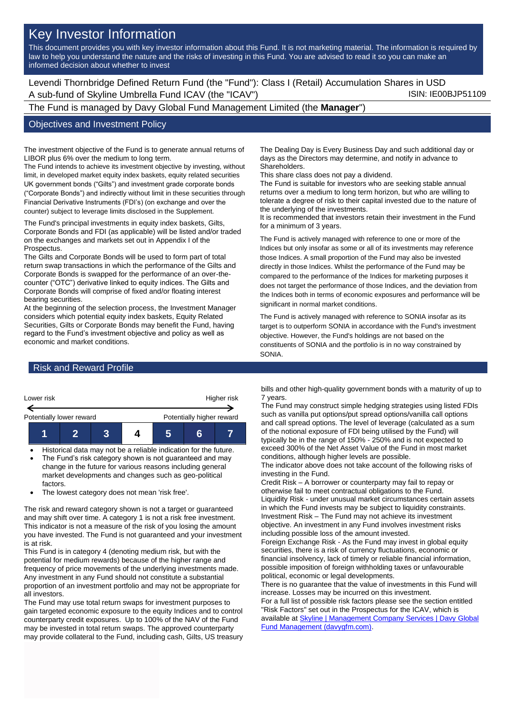# Key Investor Information

This document provides you with key investor information about this Fund. It is not marketing material. The information is required by law to help you understand the nature and the risks of investing in this Fund. You are advised to read it so you can make an informed decision about whether to invest

Levendi Thornbridge Defined Return Fund (the "Fund"): Class I (Retail) Accumulation Shares in USD A sub-fund of Skyline Umbrella Fund ICAV (the "ICAV") A sub-fund iSIN: IE00BJP51109

The Fund is managed by Davy Global Fund Management Limited (the **Manager**")

#### Objectives and Investment Policy

The investment objective of the Fund is to generate annual returns of LIBOR plus 6% over the medium to long term.

The Fund intends to achieve its investment objective by investing, without limit, in developed market equity index baskets, equity related securities UK government bonds ("Gilts") and investment grade corporate bonds ("Corporate Bonds") and indirectly without limit in these securities through Financial Derivative Instruments (FDI's) (on exchange and over the counter) subject to leverage limits disclosed in the Supplement.

The Fund's principal investments in equity index baskets, Gilts, Corporate Bonds and FDI (as applicable) will be listed and/or traded on the exchanges and markets set out in Appendix I of the **Prospectus.** 

The Gilts and Corporate Bonds will be used to form part of total return swap transactions in which the performance of the Gilts and Corporate Bonds is swapped for the performance of an over-thecounter ("OTC") derivative linked to equity indices. The Gilts and Corporate Bonds will comprise of fixed and/or floating interest bearing securities.

At the beginning of the selection process, the Investment Manager considers which potential equity index baskets, Equity Related Securities, Gilts or Corporate Bonds may benefit the Fund, having regard to the Fund's investment objective and policy as well as economic and market conditions.

The Dealing Day is Every Business Day and such additional day or days as the Directors may determine, and notify in advance to Shareholders.

This share class does not pay a dividend.

The Fund is suitable for investors who are seeking stable annual returns over a medium to long term horizon, but who are willing to tolerate a degree of risk to their capital invested due to the nature of the underlying of the investments.

It is recommended that investors retain their investment in the Fund for a minimum of 3 years.

The Fund is actively managed with reference to one or more of the Indices but only insofar as some or all of its investments may reference those Indices. A small proportion of the Fund may also be invested directly in those Indices. Whilst the performance of the Fund may be compared to the performance of the Indices for marketing purposes it does not target the performance of those Indices, and the deviation from the Indices both in terms of economic exposures and performance will be significant in normal market conditions.

The Fund is actively managed with reference to SONIA insofar as its target is to outperform SONIA in accordance with the Fund's investment objective. However, the Fund's holdings are not based on the constituents of SONIA and the portfolio is in no way constrained by SONIA.

## Risk and Reward Profile



- Historical data may not be a reliable indication for the future. The Fund's risk category shown is not guaranteed and may change in the future for various reasons including general
- market developments and changes such as geo-political factors.
- The lowest category does not mean 'risk free'.

The risk and reward category shown is not a target or guaranteed and may shift over time. A category 1 is not a risk free investment. This indicator is not a measure of the risk of you losing the amount you have invested. The Fund is not guaranteed and your investment is at risk.

This Fund is in category 4 (denoting medium risk, but with the potential for medium rewards) because of the higher range and frequency of price movements of the underlying investments made. Any investment in any Fund should not constitute a substantial proportion of an investment portfolio and may not be appropriate for all investors.

The Fund may use total return swaps for investment purposes to gain targeted economic exposure to the equity Indices and to control counterparty credit exposures. Up to 100% of the NAV of the Fund may be invested in total return swaps. The approved counterparty may provide collateral to the Fund, including cash, Gilts, US treasury bills and other high-quality government bonds with a maturity of up to 7 years.

The Fund may construct simple hedging strategies using listed FDIs such as vanilla put options/put spread options/vanilla call options and call spread options. The level of leverage (calculated as a sum of the notional exposure of FDI being utilised by the Fund) will typically be in the range of 150% - 250% and is not expected to exceed 300% of the Net Asset Value of the Fund in most market conditions, although higher levels are possible.

The indicator above does not take account of the following risks of investing in the Fund.

Credit Risk – A borrower or counterparty may fail to repay or otherwise fail to meet contractual obligations to the Fund. Liquidity Risk - under unusual market circumstances certain assets in which the Fund invests may be subject to liquidity constraints. Investment Risk – The Fund may not achieve its investment objective. An investment in any Fund involves investment risks including possible loss of the amount invested.

Foreign Exchange Risk - As the Fund may invest in global equity securities, there is a risk of currency fluctuations, economic or financial insolvency, lack of timely or reliable financial information, possible imposition of foreign withholding taxes or unfavourable political, economic or legal developments.

There is no guarantee that the value of investments in this Fund will increase. Losses may be incurred on this investment. For a full list of possible risk factors please see the section entitled "Risk Factors" set out in the Prospectus for the ICAV, which is available a[t Skyline | Management Company Services | Davy Global](https://www.davygfm.com/funds-factsheets/management-company-services/ireland/skyline.html)  [Fund Management \(davygfm.com\).](https://www.davygfm.com/funds-factsheets/management-company-services/ireland/skyline.html)